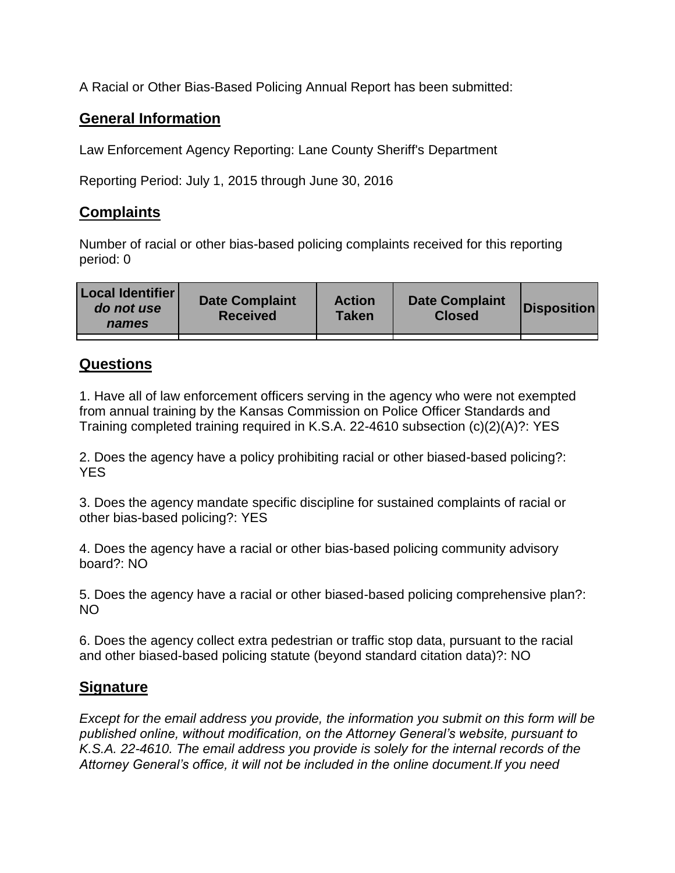A Racial or Other Bias-Based Policing Annual Report has been submitted:

## **General Information**

Law Enforcement Agency Reporting: Lane County Sheriff's Department

Reporting Period: July 1, 2015 through June 30, 2016

## **Complaints**

Number of racial or other bias-based policing complaints received for this reporting period: 0

| <b>Local Identifier</b><br>do not use<br>names | <b>Date Complaint</b><br><b>Received</b> | <b>Action</b><br><b>Taken</b> | <b>Date Complaint</b><br><b>Closed</b> | Disposition |
|------------------------------------------------|------------------------------------------|-------------------------------|----------------------------------------|-------------|
|                                                |                                          |                               |                                        |             |

## **Questions**

1. Have all of law enforcement officers serving in the agency who were not exempted from annual training by the Kansas Commission on Police Officer Standards and Training completed training required in K.S.A. 22-4610 subsection (c)(2)(A)?: YES

2. Does the agency have a policy prohibiting racial or other biased-based policing?: YES

3. Does the agency mandate specific discipline for sustained complaints of racial or other bias-based policing?: YES

4. Does the agency have a racial or other bias-based policing community advisory board?: NO

5. Does the agency have a racial or other biased-based policing comprehensive plan?: NO

6. Does the agency collect extra pedestrian or traffic stop data, pursuant to the racial and other biased-based policing statute (beyond standard citation data)?: NO

## **Signature**

*Except for the email address you provide, the information you submit on this form will be published online, without modification, on the Attorney General's website, pursuant to K.S.A. 22-4610. The email address you provide is solely for the internal records of the Attorney General's office, it will not be included in the online document.If you need*